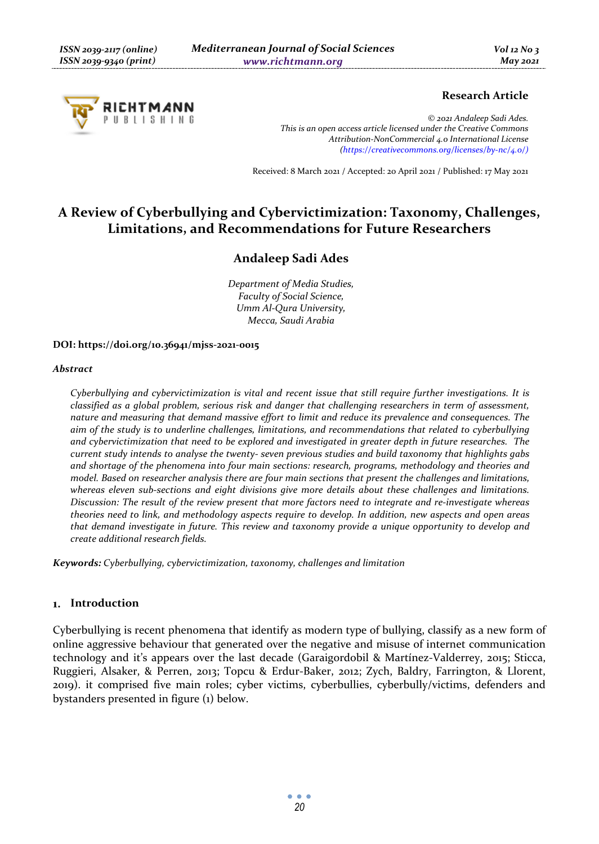

### **Research Article**

*© 2021 Andaleep Sadi Ades. This is an open access article licensed under the Creative Commons Attribution-NonCommercial 4.0 International License (https://creativecommons.org/licenses/by-nc/4.0/)*

Received: 8 March 2021 / Accepted: 20 April 2021 / Published: 17 May 2021

# **A Review of Cyberbullying and Cybervictimization: Taxonomy, Challenges, Limitations, and Recommendations for Future Researchers**

## **Andaleep Sadi Ades**

*Department of Media Studies, Faculty of Social Science, Umm Al-Qura University, Mecca, Saudi Arabia* 

#### **DOI: https://doi.org/10.36941/mjss-2021-0015**

#### *Abstract*

*Cyberbullying and cybervictimization is vital and recent issue that still require further investigations. It is classified as a global problem, serious risk and danger that challenging researchers in term of assessment, nature and measuring that demand massive effort to limit and reduce its prevalence and consequences. The aim of the study is to underline challenges, limitations, and recommendations that related to cyberbullying and cybervictimization that need to be explored and investigated in greater depth in future researches. The current study intends to analyse the twenty- seven previous studies and build taxonomy that highlights gabs and shortage of the phenomena into four main sections: research, programs, methodology and theories and model. Based on researcher analysis there are four main sections that present the challenges and limitations, whereas eleven sub-sections and eight divisions give more details about these challenges and limitations. Discussion: The result of the review present that more factors need to integrate and re-investigate whereas theories need to link, and methodology aspects require to develop. In addition, new aspects and open areas that demand investigate in future. This review and taxonomy provide a unique opportunity to develop and create additional research fields.* 

*Keywords: Cyberbullying, cybervictimization, taxonomy, challenges and limitation* 

#### **Introduction**

Cyberbullying is recent phenomena that identify as modern type of bullying, classify as a new form of online aggressive behaviour that generated over the negative and misuse of internet communication technology and it's appears over the last decade (Garaigordobil & Martínez-Valderrey, 2015; Sticca, Ruggieri, Alsaker, & Perren, 2013; Topcu & Erdur-Baker, 2012; Zych, Baldry, Farrington, & Llorent, 2019). it comprised five main roles; cyber victims, cyberbullies, cyberbully/victims, defenders and bystanders presented in figure (1) below.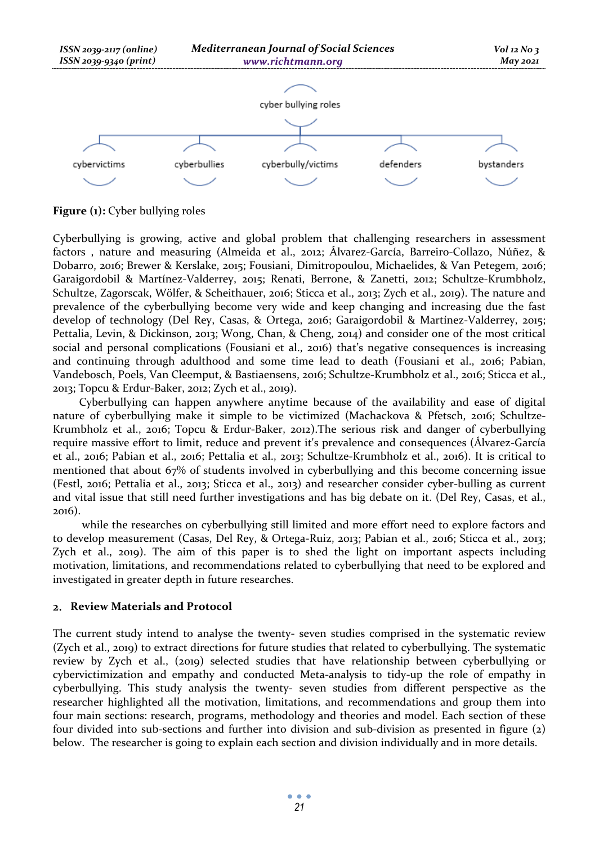

**Figure (1):** Cyber bullying roles

Cyberbullying is growing, active and global problem that challenging researchers in assessment factors , nature and measuring (Almeida et al., 2012; Álvarez-García, Barreiro-Collazo, Núñez, & Dobarro, 2016; Brewer & Kerslake, 2015; Fousiani, Dimitropoulou, Michaelides, & Van Petegem, 2016; Garaigordobil & Martínez-Valderrey, 2015; Renati, Berrone, & Zanetti, 2012; Schultze-Krumbholz, Schultze, Zagorscak, Wölfer, & Scheithauer, 2016; Sticca et al., 2013; Zych et al., 2019). The nature and prevalence of the cyberbullying become very wide and keep changing and increasing due the fast develop of technology (Del Rey, Casas, & Ortega, 2016; Garaigordobil & Martínez-Valderrey, 2015; Pettalia, Levin, & Dickinson, 2013; Wong, Chan, & Cheng, 2014) and consider one of the most critical social and personal complications (Fousiani et al., 2016) that's negative consequences is increasing and continuing through adulthood and some time lead to death (Fousiani et al., 2016; Pabian, Vandebosch, Poels, Van Cleemput, & Bastiaensens, 2016; Schultze-Krumbholz et al., 2016; Sticca et al., 2013; Topcu & Erdur-Baker, 2012; Zych et al., 2019).

Cyberbullying can happen anywhere anytime because of the availability and ease of digital nature of cyberbullying make it simple to be victimized (Machackova & Pfetsch, 2016; Schultze-Krumbholz et al., 2016; Topcu & Erdur-Baker, 2012).The serious risk and danger of cyberbullying require massive effort to limit, reduce and prevent it's prevalence and consequences (Álvarez-García et al., 2016; Pabian et al., 2016; Pettalia et al., 2013; Schultze-Krumbholz et al., 2016). It is critical to mentioned that about 67% of students involved in cyberbullying and this become concerning issue (Festl, 2016; Pettalia et al., 2013; Sticca et al., 2013) and researcher consider cyber-bulling as current and vital issue that still need further investigations and has big debate on it. (Del Rey, Casas, et al., 2016).

 while the researches on cyberbullying still limited and more effort need to explore factors and to develop measurement (Casas, Del Rey, & Ortega-Ruiz, 2013; Pabian et al., 2016; Sticca et al., 2013; Zych et al., 2019). The aim of this paper is to shed the light on important aspects including motivation, limitations, and recommendations related to cyberbullying that need to be explored and investigated in greater depth in future researches.

### **Review Materials and Protocol**

The current study intend to analyse the twenty- seven studies comprised in the systematic review (Zych et al., 2019) to extract directions for future studies that related to cyberbullying. The systematic review by Zych et al., (2019) selected studies that have relationship between cyberbullying or cybervictimization and empathy and conducted Meta-analysis to tidy-up the role of empathy in cyberbullying. This study analysis the twenty- seven studies from different perspective as the researcher highlighted all the motivation, limitations, and recommendations and group them into four main sections: research, programs, methodology and theories and model. Each section of these four divided into sub-sections and further into division and sub-division as presented in figure (2) below. The researcher is going to explain each section and division individually and in more details.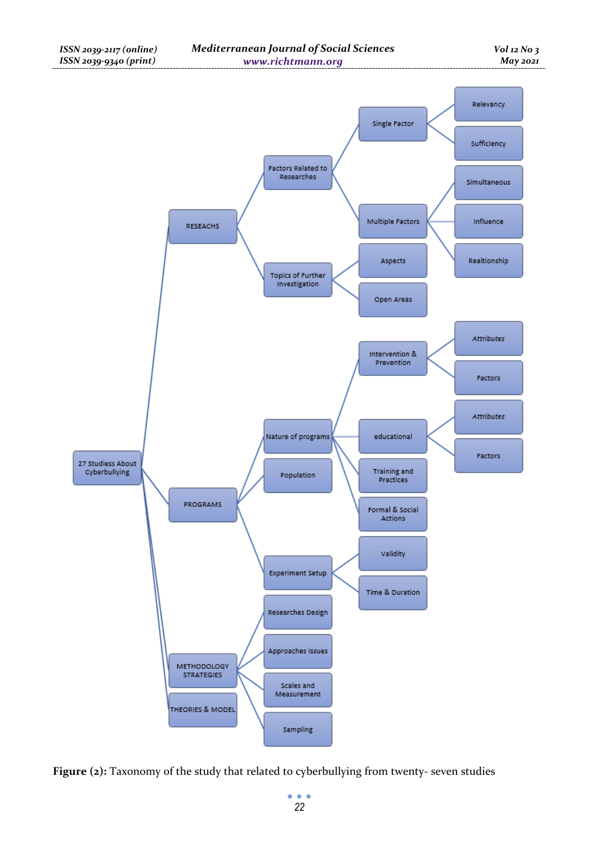

Figure (2): Taxonomy of the study that related to cyberbullying from twenty- seven studies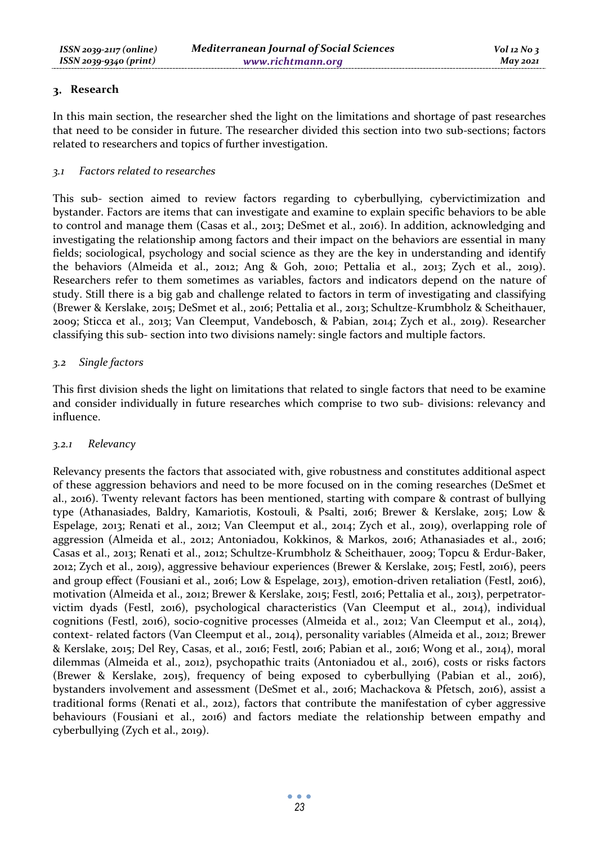### **Research**

In this main section, the researcher shed the light on the limitations and shortage of past researches that need to be consider in future. The researcher divided this section into two sub-sections; factors related to researchers and topics of further investigation.

### *3.1 Factors related to researches*

This sub- section aimed to review factors regarding to cyberbullying, cybervictimization and bystander. Factors are items that can investigate and examine to explain specific behaviors to be able to control and manage them (Casas et al., 2013; DeSmet et al., 2016). In addition, acknowledging and investigating the relationship among factors and their impact on the behaviors are essential in many fields; sociological, psychology and social science as they are the key in understanding and identify the behaviors (Almeida et al., 2012; Ang & Goh, 2010; Pettalia et al., 2013; Zych et al., 2019). Researchers refer to them sometimes as variables, factors and indicators depend on the nature of study. Still there is a big gab and challenge related to factors in term of investigating and classifying (Brewer & Kerslake, 2015; DeSmet et al., 2016; Pettalia et al., 2013; Schultze-Krumbholz & Scheithauer, 2009; Sticca et al., 2013; Van Cleemput, Vandebosch, & Pabian, 2014; Zych et al., 2019). Researcher classifying this sub- section into two divisions namely: single factors and multiple factors.

### *3.2 Single factors*

This first division sheds the light on limitations that related to single factors that need to be examine and consider individually in future researches which comprise to two sub- divisions: relevancy and influence.

### *3.2.1 Relevancy*

Relevancy presents the factors that associated with, give robustness and constitutes additional aspect of these aggression behaviors and need to be more focused on in the coming researches (DeSmet et al., 2016). Twenty relevant factors has been mentioned, starting with compare & contrast of bullying type (Athanasiades, Baldry, Kamariotis, Kostouli, & Psalti, 2016; Brewer & Kerslake, 2015; Low & Espelage, 2013; Renati et al., 2012; Van Cleemput et al., 2014; Zych et al., 2019), overlapping role of aggression (Almeida et al., 2012; Antoniadou, Kokkinos, & Markos, 2016; Athanasiades et al., 2016; Casas et al., 2013; Renati et al., 2012; Schultze-Krumbholz & Scheithauer, 2009; Topcu & Erdur-Baker, 2012; Zych et al., 2019), aggressive behaviour experiences (Brewer & Kerslake, 2015; Festl, 2016), peers and group effect (Fousiani et al., 2016; Low & Espelage, 2013), emotion-driven retaliation (Festl, 2016), motivation (Almeida et al., 2012; Brewer & Kerslake, 2015; Festl, 2016; Pettalia et al., 2013), perpetratorvictim dyads (Festl, 2016), psychological characteristics (Van Cleemput et al., 2014), individual cognitions (Festl, 2016), socio-cognitive processes (Almeida et al., 2012; Van Cleemput et al., 2014), context- related factors (Van Cleemput et al., 2014), personality variables (Almeida et al., 2012; Brewer & Kerslake, 2015; Del Rey, Casas, et al., 2016; Festl, 2016; Pabian et al., 2016; Wong et al., 2014), moral dilemmas (Almeida et al., 2012), psychopathic traits (Antoniadou et al., 2016), costs or risks factors (Brewer & Kerslake, 2015), frequency of being exposed to cyberbullying (Pabian et al., 2016), bystanders involvement and assessment (DeSmet et al., 2016; Machackova & Pfetsch, 2016), assist a traditional forms (Renati et al., 2012), factors that contribute the manifestation of cyber aggressive behaviours (Fousiani et al., 2016) and factors mediate the relationship between empathy and cyberbullying (Zych et al., 2019).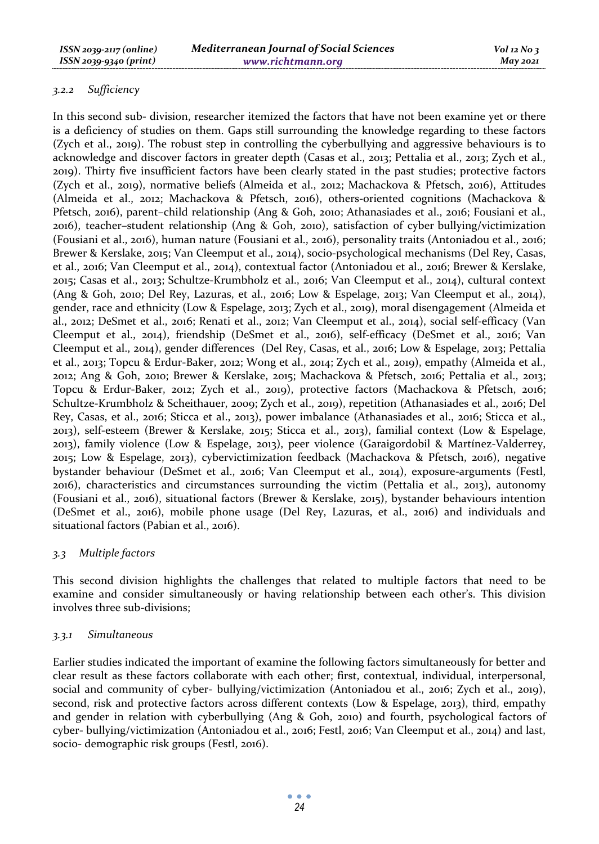### *3.2.2 Sufficiency*

In this second sub- division, researcher itemized the factors that have not been examine yet or there is a deficiency of studies on them. Gaps still surrounding the knowledge regarding to these factors (Zych et al., 2019). The robust step in controlling the cyberbullying and aggressive behaviours is to acknowledge and discover factors in greater depth (Casas et al., 2013; Pettalia et al., 2013; Zych et al., 2019). Thirty five insufficient factors have been clearly stated in the past studies; protective factors (Zych et al., 2019), normative beliefs (Almeida et al., 2012; Machackova & Pfetsch, 2016), Attitudes (Almeida et al., 2012; Machackova & Pfetsch, 2016), others-oriented cognitions (Machackova & Pfetsch, 2016), parent–child relationship (Ang & Goh, 2010; Athanasiades et al., 2016; Fousiani et al., 2016), teacher–student relationship (Ang & Goh, 2010), satisfaction of cyber bullying/victimization (Fousiani et al., 2016), human nature (Fousiani et al., 2016), personality traits (Antoniadou et al., 2016; Brewer & Kerslake, 2015; Van Cleemput et al., 2014), socio-psychological mechanisms (Del Rey, Casas, et al., 2016; Van Cleemput et al., 2014), contextual factor (Antoniadou et al., 2016; Brewer & Kerslake, 2015; Casas et al., 2013; Schultze-Krumbholz et al., 2016; Van Cleemput et al., 2014), cultural context (Ang & Goh, 2010; Del Rey, Lazuras, et al., 2016; Low & Espelage, 2013; Van Cleemput et al., 2014), gender, race and ethnicity (Low & Espelage, 2013; Zych et al., 2019), moral disengagement (Almeida et al., 2012; DeSmet et al., 2016; Renati et al., 2012; Van Cleemput et al., 2014), social self-efficacy (Van Cleemput et al., 2014), friendship (DeSmet et al., 2016), self-efficacy (DeSmet et al., 2016; Van Cleemput et al., 2014), gender differences (Del Rey, Casas, et al., 2016; Low & Espelage, 2013; Pettalia et al., 2013; Topcu & Erdur-Baker, 2012; Wong et al., 2014; Zych et al., 2019), empathy (Almeida et al., 2012; Ang & Goh, 2010; Brewer & Kerslake, 2015; Machackova & Pfetsch, 2016; Pettalia et al., 2013; Topcu & Erdur-Baker, 2012; Zych et al., 2019), protective factors (Machackova & Pfetsch, 2016; Schultze-Krumbholz & Scheithauer, 2009; Zych et al., 2019), repetition (Athanasiades et al., 2016; Del Rey, Casas, et al., 2016; Sticca et al., 2013), power imbalance (Athanasiades et al., 2016; Sticca et al., 2013), self-esteem (Brewer & Kerslake, 2015; Sticca et al., 2013), familial context (Low & Espelage, 2013), family violence (Low & Espelage, 2013), peer violence (Garaigordobil & Martínez-Valderrey, 2015; Low & Espelage, 2013), cybervictimization feedback (Machackova & Pfetsch, 2016), negative bystander behaviour (DeSmet et al., 2016; Van Cleemput et al., 2014), exposure-arguments (Festl, 2016), characteristics and circumstances surrounding the victim (Pettalia et al., 2013), autonomy (Fousiani et al., 2016), situational factors (Brewer & Kerslake, 2015), bystander behaviours intention (DeSmet et al., 2016), mobile phone usage (Del Rey, Lazuras, et al., 2016) and individuals and situational factors (Pabian et al., 2016).

#### *3.3 Multiple factors*

This second division highlights the challenges that related to multiple factors that need to be examine and consider simultaneously or having relationship between each other's. This division involves three sub-divisions;

#### *3.3.1 Simultaneous*

Earlier studies indicated the important of examine the following factors simultaneously for better and clear result as these factors collaborate with each other; first, contextual, individual, interpersonal, social and community of cyber- bullying/victimization (Antoniadou et al., 2016; Zych et al., 2019), second, risk and protective factors across different contexts (Low & Espelage, 2013), third, empathy and gender in relation with cyberbullying (Ang & Goh, 2010) and fourth, psychological factors of cyber- bullying/victimization (Antoniadou et al., 2016; Festl, 2016; Van Cleemput et al., 2014) and last, socio- demographic risk groups (Festl, 2016).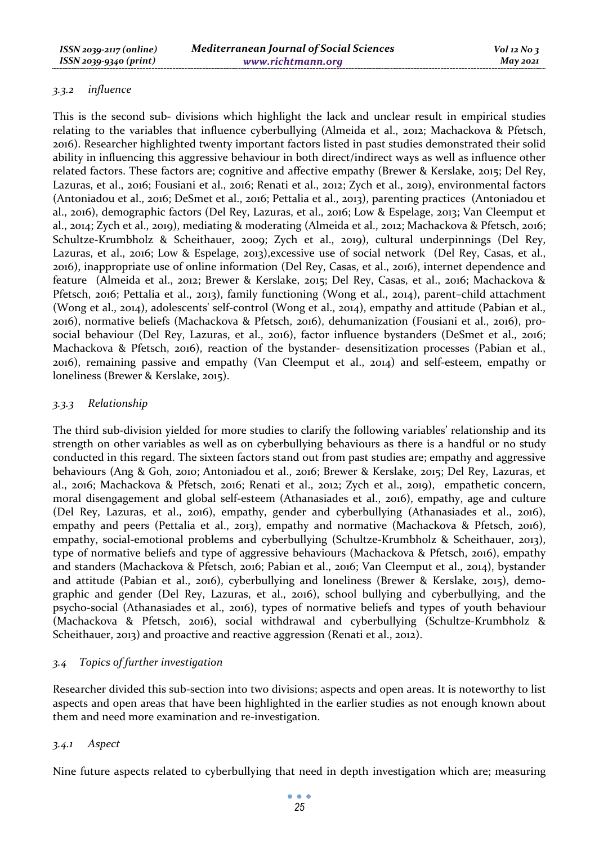### *3.3.2 influence*

This is the second sub- divisions which highlight the lack and unclear result in empirical studies relating to the variables that influence cyberbullying (Almeida et al., 2012; Machackova & Pfetsch, 2016). Researcher highlighted twenty important factors listed in past studies demonstrated their solid ability in influencing this aggressive behaviour in both direct/indirect ways as well as influence other related factors. These factors are; cognitive and affective empathy (Brewer & Kerslake, 2015; Del Rey, Lazuras, et al., 2016; Fousiani et al., 2016; Renati et al., 2012; Zych et al., 2019), environmental factors (Antoniadou et al., 2016; DeSmet et al., 2016; Pettalia et al., 2013), parenting practices (Antoniadou et al., 2016), demographic factors (Del Rey, Lazuras, et al., 2016; Low & Espelage, 2013; Van Cleemput et al., 2014; Zych et al., 2019), mediating & moderating (Almeida et al., 2012; Machackova & Pfetsch, 2016; Schultze-Krumbholz & Scheithauer, 2009; Zych et al., 2019), cultural underpinnings (Del Rey, Lazuras, et al., 2016; Low & Espelage, 2013),excessive use of social network (Del Rey, Casas, et al., 2016), inappropriate use of online information (Del Rey, Casas, et al., 2016), internet dependence and feature (Almeida et al., 2012; Brewer & Kerslake, 2015; Del Rey, Casas, et al., 2016; Machackova & Pfetsch, 2016; Pettalia et al., 2013), family functioning (Wong et al., 2014), parent–child attachment (Wong et al., 2014), adolescents' self-control (Wong et al., 2014), empathy and attitude (Pabian et al., 2016), normative beliefs (Machackova & Pfetsch, 2016), dehumanization (Fousiani et al., 2016), prosocial behaviour (Del Rey, Lazuras, et al., 2016), factor influence bystanders (DeSmet et al., 2016; Machackova & Pfetsch, 2016), reaction of the bystander- desensitization processes (Pabian et al., 2016), remaining passive and empathy (Van Cleemput et al., 2014) and self-esteem, empathy or loneliness (Brewer & Kerslake, 2015).

### *3.3.3 Relationship*

The third sub-division yielded for more studies to clarify the following variables' relationship and its strength on other variables as well as on cyberbullying behaviours as there is a handful or no study conducted in this regard. The sixteen factors stand out from past studies are; empathy and aggressive behaviours (Ang & Goh, 2010; Antoniadou et al., 2016; Brewer & Kerslake, 2015; Del Rey, Lazuras, et al., 2016; Machackova & Pfetsch, 2016; Renati et al., 2012; Zych et al., 2019), empathetic concern, moral disengagement and global self-esteem (Athanasiades et al., 2016), empathy, age and culture (Del Rey, Lazuras, et al., 2016), empathy, gender and cyberbullying (Athanasiades et al., 2016), empathy and peers (Pettalia et al., 2013), empathy and normative (Machackova & Pfetsch, 2016), empathy, social-emotional problems and cyberbullying (Schultze-Krumbholz & Scheithauer, 2013), type of normative beliefs and type of aggressive behaviours (Machackova & Pfetsch, 2016), empathy and standers (Machackova & Pfetsch, 2016; Pabian et al., 2016; Van Cleemput et al., 2014), bystander and attitude (Pabian et al., 2016), cyberbullying and loneliness (Brewer & Kerslake, 2015), demographic and gender (Del Rey, Lazuras, et al., 2016), school bullying and cyberbullying, and the psycho-social (Athanasiades et al., 2016), types of normative beliefs and types of youth behaviour (Machackova & Pfetsch, 2016), social withdrawal and cyberbullying (Schultze-Krumbholz & Scheithauer, 2013) and proactive and reactive aggression (Renati et al., 2012).

### *3.4 Topics of further investigation*

Researcher divided this sub-section into two divisions; aspects and open areas. It is noteworthy to list aspects and open areas that have been highlighted in the earlier studies as not enough known about them and need more examination and re-investigation.

### *3.4.1 Aspect*

Nine future aspects related to cyberbullying that need in depth investigation which are; measuring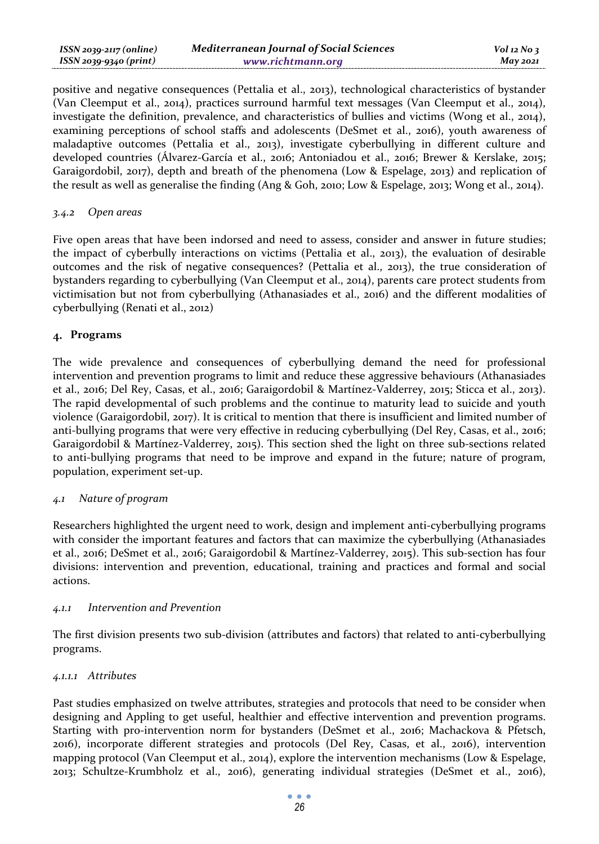| $ISSN 2039-2117 (online)$ | <b>Mediterranean Journal of Social Sciences</b> | $Vol$ 12 No 3 |
|---------------------------|-------------------------------------------------|---------------|
| $ISSN 2039-9340 (print)$  | www.richtmann.org                               | $M$ ay 2021   |

positive and negative consequences (Pettalia et al., 2013), technological characteristics of bystander (Van Cleemput et al., 2014), practices surround harmful text messages (Van Cleemput et al., 2014), investigate the definition, prevalence, and characteristics of bullies and victims (Wong et al., 2014), examining perceptions of school staffs and adolescents (DeSmet et al., 2016), youth awareness of maladaptive outcomes (Pettalia et al., 2013), investigate cyberbullying in different culture and developed countries (Álvarez-García et al., 2016; Antoniadou et al., 2016; Brewer & Kerslake, 2015; Garaigordobil, 2017), depth and breath of the phenomena (Low & Espelage, 2013) and replication of the result as well as generalise the finding (Ang & Goh, 2010; Low & Espelage, 2013; Wong et al., 2014).

#### *3.4.2 Open areas*

Five open areas that have been indorsed and need to assess, consider and answer in future studies; the impact of cyberbully interactions on victims (Pettalia et al., 2013), the evaluation of desirable outcomes and the risk of negative consequences? (Pettalia et al., 2013), the true consideration of bystanders regarding to cyberbullying (Van Cleemput et al., 2014), parents care protect students from victimisation but not from cyberbullying (Athanasiades et al., 2016) and the different modalities of cyberbullying (Renati et al., 2012)

### **Programs**

The wide prevalence and consequences of cyberbullying demand the need for professional intervention and prevention programs to limit and reduce these aggressive behaviours (Athanasiades et al., 2016; Del Rey, Casas, et al., 2016; Garaigordobil & Martínez-Valderrey, 2015; Sticca et al., 2013). The rapid developmental of such problems and the continue to maturity lead to suicide and youth violence (Garaigordobil, 2017). It is critical to mention that there is insufficient and limited number of anti-bullying programs that were very effective in reducing cyberbullying (Del Rey, Casas, et al., 2016; Garaigordobil & Martínez-Valderrey, 2015). This section shed the light on three sub-sections related to anti-bullying programs that need to be improve and expand in the future; nature of program, population, experiment set-up.

### *4.1 Nature of program*

Researchers highlighted the urgent need to work, design and implement anti-cyberbullying programs with consider the important features and factors that can maximize the cyberbullying (Athanasiades et al., 2016; DeSmet et al., 2016; Garaigordobil & Martínez-Valderrey, 2015). This sub-section has four divisions: intervention and prevention, educational, training and practices and formal and social actions.

#### *4.1.1 Intervention and Prevention*

The first division presents two sub-division (attributes and factors) that related to anti-cyberbullying programs.

### *4.1.1.1 Attributes*

Past studies emphasized on twelve attributes, strategies and protocols that need to be consider when designing and Appling to get useful, healthier and effective intervention and prevention programs. Starting with pro-intervention norm for bystanders (DeSmet et al., 2016; Machackova & Pfetsch, 2016), incorporate different strategies and protocols (Del Rey, Casas, et al., 2016), intervention mapping protocol (Van Cleemput et al., 2014), explore the intervention mechanisms (Low & Espelage, 2013; Schultze-Krumbholz et al., 2016), generating individual strategies (DeSmet et al., 2016),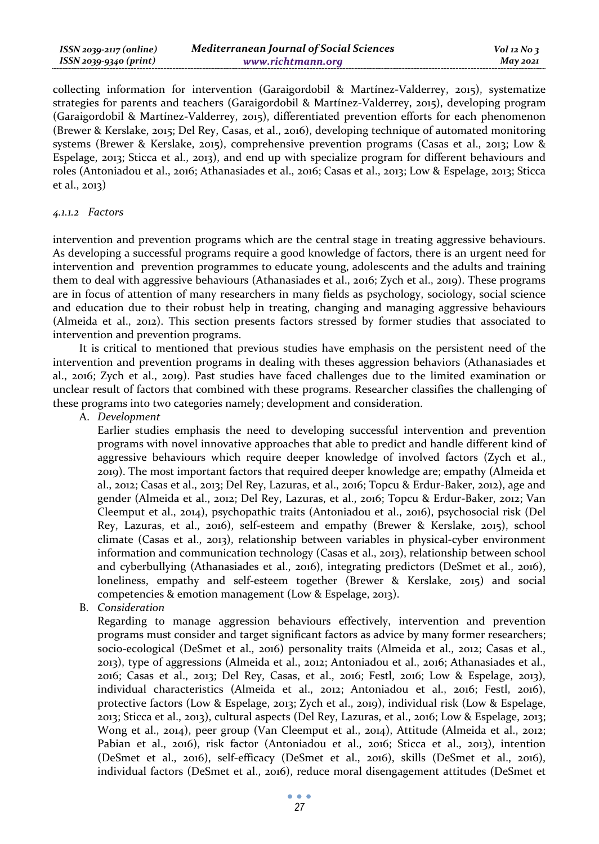| ISSN 2039-2117 (online) | <b>Mediterranean Journal of Social Sciences</b> | $Vol$ 12 No 3 |
|-------------------------|-------------------------------------------------|---------------|
| ISSN 2039-9340 (print)  | www.richtmann.org                               | $M$ ay 2021   |

collecting information for intervention (Garaigordobil & Martínez-Valderrey, 2015), systematize strategies for parents and teachers (Garaigordobil & Martínez-Valderrey, 2015), developing program (Garaigordobil & Martínez-Valderrey, 2015), differentiated prevention efforts for each phenomenon (Brewer & Kerslake, 2015; Del Rey, Casas, et al., 2016), developing technique of automated monitoring systems (Brewer & Kerslake, 2015), comprehensive prevention programs (Casas et al., 2013; Low & Espelage, 2013; Sticca et al., 2013), and end up with specialize program for different behaviours and roles (Antoniadou et al., 2016; Athanasiades et al., 2016; Casas et al., 2013; Low & Espelage, 2013; Sticca et al., 2013)

### *4.1.1.2 Factors*

intervention and prevention programs which are the central stage in treating aggressive behaviours. As developing a successful programs require a good knowledge of factors, there is an urgent need for intervention and prevention programmes to educate young, adolescents and the adults and training them to deal with aggressive behaviours (Athanasiades et al., 2016; Zych et al., 2019). These programs are in focus of attention of many researchers in many fields as psychology, sociology, social science and education due to their robust help in treating, changing and managing aggressive behaviours (Almeida et al., 2012). This section presents factors stressed by former studies that associated to intervention and prevention programs.

It is critical to mentioned that previous studies have emphasis on the persistent need of the intervention and prevention programs in dealing with theses aggression behaviors (Athanasiades et al., 2016; Zych et al., 2019). Past studies have faced challenges due to the limited examination or unclear result of factors that combined with these programs. Researcher classifies the challenging of these programs into two categories namely; development and consideration.

A. *Development*

Earlier studies emphasis the need to developing successful intervention and prevention programs with novel innovative approaches that able to predict and handle different kind of aggressive behaviours which require deeper knowledge of involved factors (Zych et al., 2019). The most important factors that required deeper knowledge are; empathy (Almeida et al., 2012; Casas et al., 2013; Del Rey, Lazuras, et al., 2016; Topcu & Erdur-Baker, 2012), age and gender (Almeida et al., 2012; Del Rey, Lazuras, et al., 2016; Topcu & Erdur-Baker, 2012; Van Cleemput et al., 2014), psychopathic traits (Antoniadou et al., 2016), psychosocial risk (Del Rey, Lazuras, et al., 2016), self-esteem and empathy (Brewer & Kerslake, 2015), school climate (Casas et al., 2013), relationship between variables in physical-cyber environment information and communication technology (Casas et al., 2013), relationship between school and cyberbullying (Athanasiades et al., 2016), integrating predictors (DeSmet et al., 2016), loneliness, empathy and self-esteem together (Brewer & Kerslake, 2015) and social competencies & emotion management (Low & Espelage, 2013).

B. *Consideration*

Regarding to manage aggression behaviours effectively, intervention and prevention programs must consider and target significant factors as advice by many former researchers; socio-ecological (DeSmet et al., 2016) personality traits (Almeida et al., 2012; Casas et al., 2013), type of aggressions (Almeida et al., 2012; Antoniadou et al., 2016; Athanasiades et al., 2016; Casas et al., 2013; Del Rey, Casas, et al., 2016; Festl, 2016; Low & Espelage, 2013), individual characteristics (Almeida et al., 2012; Antoniadou et al., 2016; Festl, 2016), protective factors (Low & Espelage, 2013; Zych et al., 2019), individual risk (Low & Espelage, 2013; Sticca et al., 2013), cultural aspects (Del Rey, Lazuras, et al., 2016; Low & Espelage, 2013; Wong et al., 2014), peer group (Van Cleemput et al., 2014), Attitude (Almeida et al., 2012; Pabian et al., 2016), risk factor (Antoniadou et al., 2016; Sticca et al., 2013), intention (DeSmet et al., 2016), self-efficacy (DeSmet et al., 2016), skills (DeSmet et al., 2016), individual factors (DeSmet et al., 2016), reduce moral disengagement attitudes (DeSmet et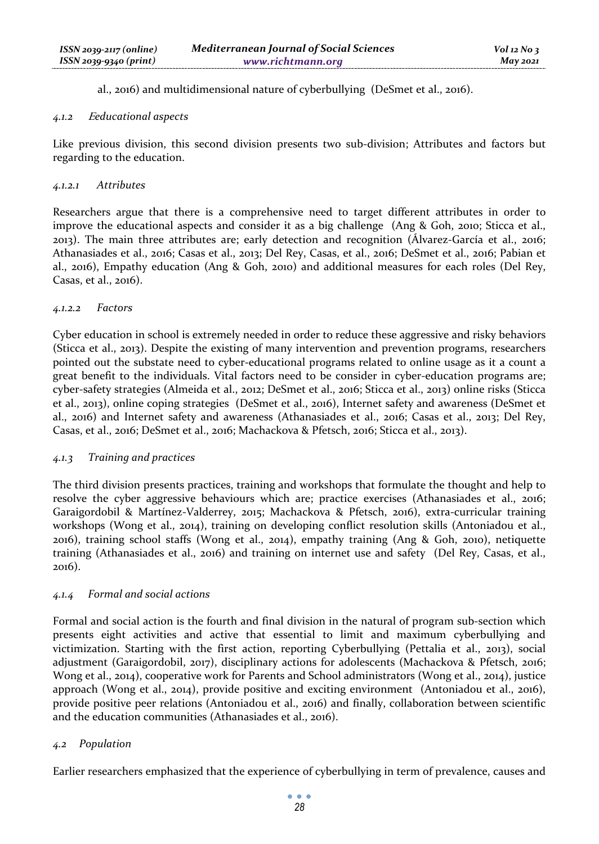al., 2016) and multidimensional nature of cyberbullying (DeSmet et al., 2016).

### *4.1.2* <sup>E</sup>*educational aspects*

Like previous division, this second division presents two sub-division; Attributes and factors but regarding to the education.

### *4.1.2.1 Attributes*

Researchers argue that there is a comprehensive need to target different attributes in order to improve the educational aspects and consider it as a big challenge (Ang & Goh, 2010; Sticca et al., 2013). The main three attributes are; early detection and recognition (Álvarez-García et al., 2016; Athanasiades et al., 2016; Casas et al., 2013; Del Rey, Casas, et al., 2016; DeSmet et al., 2016; Pabian et al., 2016), Empathy education (Ang & Goh, 2010) and additional measures for each roles (Del Rey, Casas, et al., 2016).

### *4.1.2.2 Factors*

Cyber education in school is extremely needed in order to reduce these aggressive and risky behaviors (Sticca et al., 2013). Despite the existing of many intervention and prevention programs, researchers pointed out the substate need to cyber-educational programs related to online usage as it a count a great benefit to the individuals. Vital factors need to be consider in cyber-education programs are; cyber-safety strategies (Almeida et al., 2012; DeSmet et al., 2016; Sticca et al., 2013) online risks (Sticca et al., 2013), online coping strategies (DeSmet et al., 2016), Internet safety and awareness (DeSmet et al., 2016) and Internet safety and awareness (Athanasiades et al., 2016; Casas et al., 2013; Del Rey, Casas, et al., 2016; DeSmet et al., 2016; Machackova & Pfetsch, 2016; Sticca et al., 2013).

### *4.1.3 Training and practices*

The third division presents practices, training and workshops that formulate the thought and help to resolve the cyber aggressive behaviours which are; practice exercises (Athanasiades et al., 2016; Garaigordobil & Martínez-Valderrey, 2015; Machackova & Pfetsch, 2016), extra-curricular training workshops (Wong et al., 2014), training on developing conflict resolution skills (Antoniadou et al., 2016), training school staffs (Wong et al., 2014), empathy training (Ang & Goh, 2010), netiquette training (Athanasiades et al., 2016) and training on internet use and safety (Del Rey, Casas, et al., 2016).

### *4.1.4 Formal and social actions*

Formal and social action is the fourth and final division in the natural of program sub-section which presents eight activities and active that essential to limit and maximum cyberbullying and victimization. Starting with the first action, reporting Cyberbullying (Pettalia et al., 2013), social adjustment (Garaigordobil, 2017), disciplinary actions for adolescents (Machackova & Pfetsch, 2016; Wong et al., 2014), cooperative work for Parents and School administrators (Wong et al., 2014), justice approach (Wong et al., 2014), provide positive and exciting environment (Antoniadou et al., 2016), provide positive peer relations (Antoniadou et al., 2016) and finally, collaboration between scientific and the education communities (Athanasiades et al., 2016).

### *4.2 Population*

Earlier researchers emphasized that the experience of cyberbullying in term of prevalence, causes and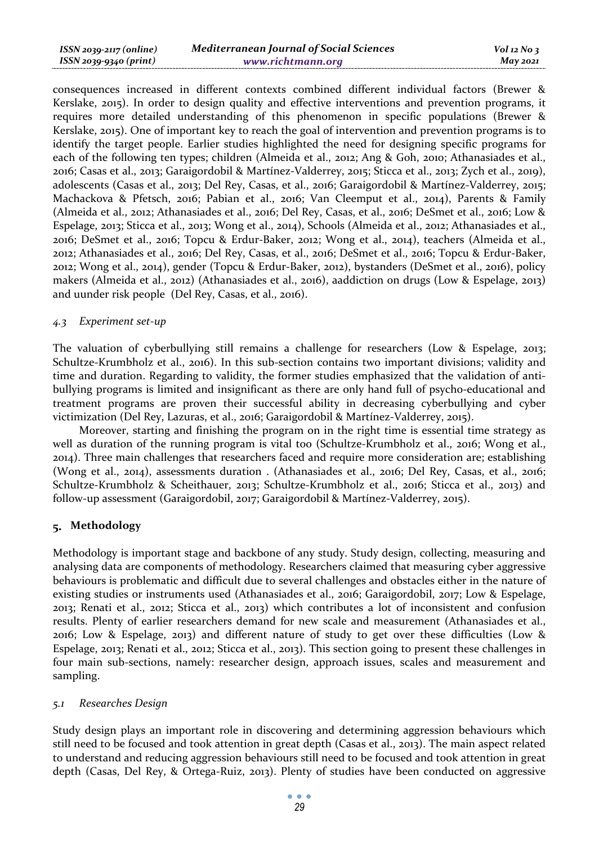| ISSN 2039-2117 (online) | <b>Mediterranean Journal of Social Sciences</b> | $Vol$ 12 No 3   |
|-------------------------|-------------------------------------------------|-----------------|
| ISSN 2039-9340 (print)  | www.richtmann.org                               | <b>May 2021</b> |

consequences increased in different contexts combined different individual factors (Brewer & Kerslake, 2015). In order to design quality and effective interventions and prevention programs, it requires more detailed understanding of this phenomenon in specific populations (Brewer & Kerslake, 2015). One of important key to reach the goal of intervention and prevention programs is to identify the target people. Earlier studies highlighted the need for designing specific programs for each of the following ten types; children (Almeida et al., 2012; Ang & Goh, 2010; Athanasiades et al., 2016; Casas et al., 2013; Garaigordobil & Martínez-Valderrey, 2015; Sticca et al., 2013; Zych et al., 2019), adolescents (Casas et al., 2013; Del Rey, Casas, et al., 2016; Garaigordobil & Martínez-Valderrey, 2015; Machackova & Pfetsch, 2016; Pabian et al., 2016; Van Cleemput et al., 2014), Parents & Family (Almeida et al., 2012; Athanasiades et al., 2016; Del Rey, Casas, et al., 2016; DeSmet et al., 2016; Low & Espelage, 2013; Sticca et al., 2013; Wong et al., 2014), Schools (Almeida et al., 2012; Athanasiades et al., 2016; DeSmet et al., 2016; Topcu & Erdur-Baker, 2012; Wong et al., 2014), teachers (Almeida et al., 2012; Athanasiades et al., 2016; Del Rey, Casas, et al., 2016; DeSmet et al., 2016; Topcu & Erdur-Baker, 2012; Wong et al., 2014), gender (Topcu & Erdur-Baker, 2012), bystanders (DeSmet et al., 2016), policy makers (Almeida et al., 2012) (Athanasiades et al., 2016), aaddiction on drugs (Low & Espelage, 2013) and uunder risk people (Del Rey, Casas, et al., 2016).

#### *4.3 Experiment set-up*

The valuation of cyberbullying still remains a challenge for researchers (Low & Espelage, 2013; Schultze-Krumbholz et al., 2016). In this sub-section contains two important divisions; validity and time and duration. Regarding to validity, the former studies emphasized that the validation of antibullying programs is limited and insignificant as there are only hand full of psycho-educational and treatment programs are proven their successful ability in decreasing cyberbullying and cyber victimization (Del Rey, Lazuras, et al., 2016; Garaigordobil & Martínez-Valderrey, 2015).

Moreover, starting and finishing the program on in the right time is essential time strategy as well as duration of the running program is vital too (Schultze-Krumbholz et al., 2016; Wong et al., 2014). Three main challenges that researchers faced and require more consideration are; establishing (Wong et al., 2014), assessments duration . (Athanasiades et al., 2016; Del Rey, Casas, et al., 2016; Schultze-Krumbholz & Scheithauer, 2013; Schultze-Krumbholz et al., 2016; Sticca et al., 2013) and follow-up assessment (Garaigordobil, 2017; Garaigordobil & Martínez-Valderrey, 2015).

#### **Methodology**

Methodology is important stage and backbone of any study. Study design, collecting, measuring and analysing data are components of methodology. Researchers claimed that measuring cyber aggressive behaviours is problematic and difficult due to several challenges and obstacles either in the nature of existing studies or instruments used (Athanasiades et al., 2016; Garaigordobil, 2017; Low & Espelage, 2013; Renati et al., 2012; Sticca et al., 2013) which contributes a lot of inconsistent and confusion results. Plenty of earlier researchers demand for new scale and measurement (Athanasiades et al., 2016; Low & Espelage, 2013) and different nature of study to get over these difficulties (Low & Espelage, 2013; Renati et al., 2012; Sticca et al., 2013). This section going to present these challenges in four main sub-sections, namely: researcher design, approach issues, scales and measurement and sampling.

#### *5.1 Researches Design*

Study design plays an important role in discovering and determining aggression behaviours which still need to be focused and took attention in great depth (Casas et al., 2013). The main aspect related to understand and reducing aggression behaviours still need to be focused and took attention in great depth (Casas, Del Rey, & Ortega-Ruiz, 2013). Plenty of studies have been conducted on aggressive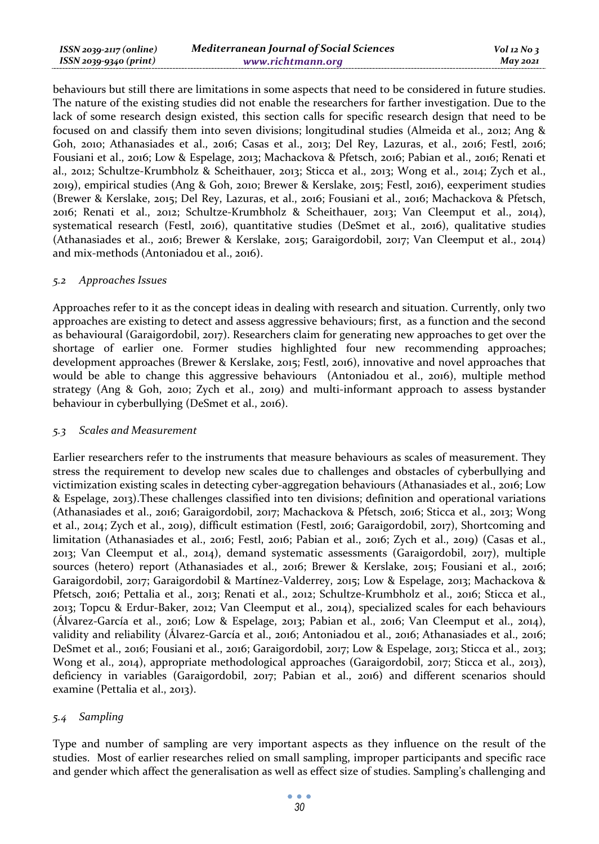| ISSN 2039-2117 (online) | <b>Mediterranean Journal of Social Sciences</b> | $Vol$ 12 No 3 |
|-------------------------|-------------------------------------------------|---------------|
| ISSN 2039-9340 (print)  | www.richtmann.org                               | $M$ ay 2021   |

behaviours but still there are limitations in some aspects that need to be considered in future studies. The nature of the existing studies did not enable the researchers for farther investigation. Due to the lack of some research design existed, this section calls for specific research design that need to be focused on and classify them into seven divisions; longitudinal studies (Almeida et al., 2012; Ang & Goh, 2010; Athanasiades et al., 2016; Casas et al., 2013; Del Rey, Lazuras, et al., 2016; Festl, 2016; Fousiani et al., 2016; Low & Espelage, 2013; Machackova & Pfetsch, 2016; Pabian et al., 2016; Renati et al., 2012; Schultze-Krumbholz & Scheithauer, 2013; Sticca et al., 2013; Wong et al., 2014; Zych et al., 2019), empirical studies (Ang & Goh, 2010; Brewer & Kerslake, 2015; Festl, 2016), eexperiment studies (Brewer & Kerslake, 2015; Del Rey, Lazuras, et al., 2016; Fousiani et al., 2016; Machackova & Pfetsch, 2016; Renati et al., 2012; Schultze-Krumbholz & Scheithauer, 2013; Van Cleemput et al., 2014), systematical research (Festl, 2016), quantitative studies (DeSmet et al., 2016), qualitative studies (Athanasiades et al., 2016; Brewer & Kerslake, 2015; Garaigordobil, 2017; Van Cleemput et al., 2014) and mix-methods (Antoniadou et al., 2016).

#### *5.2 Approaches Issues*

Approaches refer to it as the concept ideas in dealing with research and situation. Currently, only two approaches are existing to detect and assess aggressive behaviours; first, as a function and the second as behavioural (Garaigordobil, 2017). Researchers claim for generating new approaches to get over the shortage of earlier one. Former studies highlighted four new recommending approaches; development approaches (Brewer & Kerslake, 2015; Festl, 2016), innovative and novel approaches that would be able to change this aggressive behaviours (Antoniadou et al., 2016), multiple method strategy (Ang & Goh, 2010; Zych et al., 2019) and multi-informant approach to assess bystander behaviour in cyberbullying (DeSmet et al., 2016).

#### *5.3 Scales and Measurement*

Earlier researchers refer to the instruments that measure behaviours as scales of measurement. They stress the requirement to develop new scales due to challenges and obstacles of cyberbullying and victimization existing scales in detecting cyber-aggregation behaviours (Athanasiades et al., 2016; Low & Espelage, 2013).These challenges classified into ten divisions; definition and operational variations (Athanasiades et al., 2016; Garaigordobil, 2017; Machackova & Pfetsch, 2016; Sticca et al., 2013; Wong et al., 2014; Zych et al., 2019), difficult estimation (Festl, 2016; Garaigordobil, 2017), Shortcoming and limitation (Athanasiades et al., 2016; Festl, 2016; Pabian et al., 2016; Zych et al., 2019) (Casas et al., 2013; Van Cleemput et al., 2014), demand systematic assessments (Garaigordobil, 2017), multiple sources (hetero) report (Athanasiades et al., 2016; Brewer & Kerslake, 2015; Fousiani et al., 2016; Garaigordobil, 2017; Garaigordobil & Martínez-Valderrey, 2015; Low & Espelage, 2013; Machackova & Pfetsch, 2016; Pettalia et al., 2013; Renati et al., 2012; Schultze-Krumbholz et al., 2016; Sticca et al., 2013; Topcu & Erdur-Baker, 2012; Van Cleemput et al., 2014), specialized scales for each behaviours (Álvarez-García et al., 2016; Low & Espelage, 2013; Pabian et al., 2016; Van Cleemput et al., 2014), validity and reliability (Álvarez-García et al., 2016; Antoniadou et al., 2016; Athanasiades et al., 2016; DeSmet et al., 2016; Fousiani et al., 2016; Garaigordobil, 2017; Low & Espelage, 2013; Sticca et al., 2013; Wong et al., 2014), appropriate methodological approaches (Garaigordobil, 2017; Sticca et al., 2013), deficiency in variables (Garaigordobil, 2017; Pabian et al., 2016) and different scenarios should examine (Pettalia et al., 2013).

#### *5.4 Sampling*

Type and number of sampling are very important aspects as they influence on the result of the studies. Most of earlier researches relied on small sampling, improper participants and specific race and gender which affect the generalisation as well as effect size of studies. Sampling's challenging and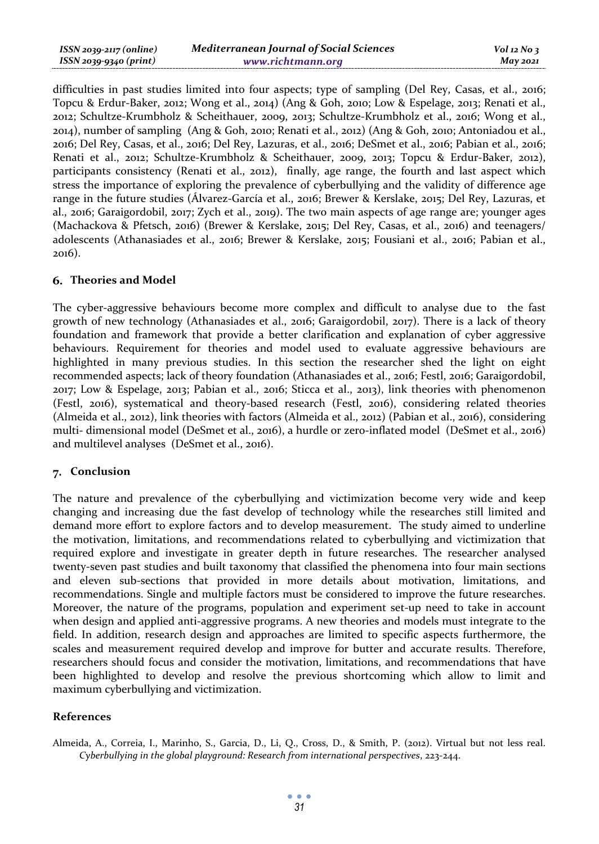| $ISSN 2039-2117 (online)$ | <b>Mediterranean Journal of Social Sciences</b> | $Vol$ 12 No 3   |
|---------------------------|-------------------------------------------------|-----------------|
| ISSN 2039-9340 (print)    | www.richtmann.org                               | <b>May 2021</b> |

difficulties in past studies limited into four aspects; type of sampling (Del Rey, Casas, et al., 2016; Topcu & Erdur-Baker, 2012; Wong et al., 2014) (Ang & Goh, 2010; Low & Espelage, 2013; Renati et al., 2012; Schultze-Krumbholz & Scheithauer, 2009, 2013; Schultze-Krumbholz et al., 2016; Wong et al., 2014), number of sampling (Ang & Goh, 2010; Renati et al., 2012) (Ang & Goh, 2010; Antoniadou et al., 2016; Del Rey, Casas, et al., 2016; Del Rey, Lazuras, et al., 2016; DeSmet et al., 2016; Pabian et al., 2016; Renati et al., 2012; Schultze-Krumbholz & Scheithauer, 2009, 2013; Topcu & Erdur-Baker, 2012), participants consistency (Renati et al., 2012), finally, age range, the fourth and last aspect which stress the importance of exploring the prevalence of cyberbullying and the validity of difference age range in the future studies (Álvarez-García et al., 2016; Brewer & Kerslake, 2015; Del Rey, Lazuras, et al., 2016; Garaigordobil, 2017; Zych et al., 2019). The two main aspects of age range are; younger ages (Machackova & Pfetsch, 2016) (Brewer & Kerslake, 2015; Del Rey, Casas, et al., 2016) and teenagers/ adolescents (Athanasiades et al., 2016; Brewer & Kerslake, 2015; Fousiani et al., 2016; Pabian et al., 2016).

#### **Theories and Model**

The cyber-aggressive behaviours become more complex and difficult to analyse due to the fast growth of new technology (Athanasiades et al., 2016; Garaigordobil, 2017). There is a lack of theory foundation and framework that provide a better clarification and explanation of cyber aggressive behaviours. Requirement for theories and model used to evaluate aggressive behaviours are highlighted in many previous studies. In this section the researcher shed the light on eight recommended aspects; lack of theory foundation (Athanasiades et al., 2016; Festl, 2016; Garaigordobil, 2017; Low & Espelage, 2013; Pabian et al., 2016; Sticca et al., 2013), link theories with phenomenon (Festl, 2016), systematical and theory-based research (Festl, 2016), considering related theories (Almeida et al., 2012), link theories with factors (Almeida et al., 2012) (Pabian et al., 2016), considering multi- dimensional model (DeSmet et al., 2016), a hurdle or zero-inflated model (DeSmet et al., 2016) and multilevel analyses (DeSmet et al., 2016).

#### 7. Conclusion

The nature and prevalence of the cyberbullying and victimization become very wide and keep changing and increasing due the fast develop of technology while the researches still limited and demand more effort to explore factors and to develop measurement. The study aimed to underline the motivation, limitations, and recommendations related to cyberbullying and victimization that required explore and investigate in greater depth in future researches. The researcher analysed twenty-seven past studies and built taxonomy that classified the phenomena into four main sections and eleven sub-sections that provided in more details about motivation, limitations, and recommendations. Single and multiple factors must be considered to improve the future researches. Moreover, the nature of the programs, population and experiment set-up need to take in account when design and applied anti-aggressive programs. A new theories and models must integrate to the field. In addition, research design and approaches are limited to specific aspects furthermore, the scales and measurement required develop and improve for butter and accurate results. Therefore, researchers should focus and consider the motivation, limitations, and recommendations that have been highlighted to develop and resolve the previous shortcoming which allow to limit and maximum cyberbullying and victimization.

### **References**

Almeida, A., Correia, I., Marinho, S., Garcia, D., Li, Q., Cross, D., & Smith, P. (2012). Virtual but not less real. *Cyberbullying in the global playground: Research from international perspectives*, 223-244.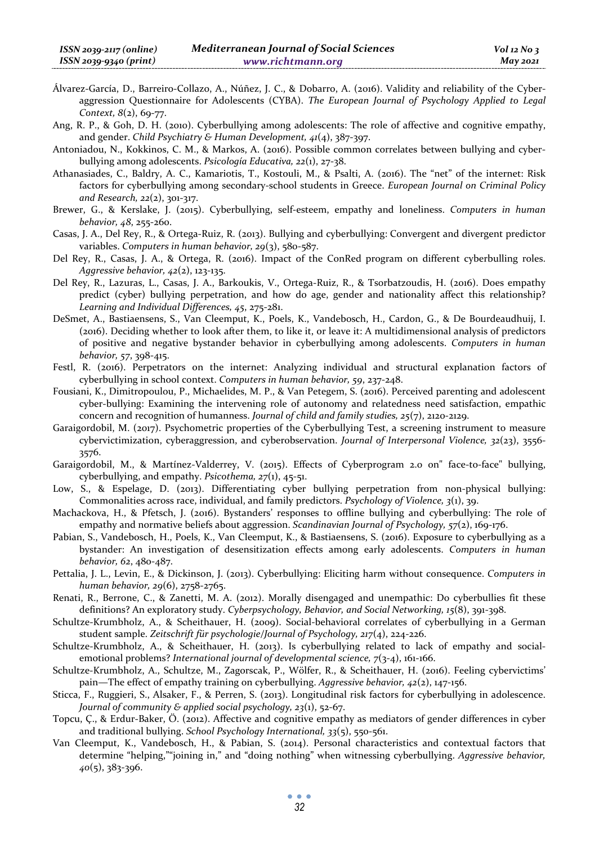- Álvarez-García, D., Barreiro-Collazo, A., Núñez, J. C., & Dobarro, A. (2016). Validity and reliability of the Cyberaggression Questionnaire for Adolescents (CYBA). *The European Journal of Psychology Applied to Legal Context, 8*(2), 69-77.
- Ang, R. P., & Goh, D. H. (2010). Cyberbullying among adolescents: The role of affective and cognitive empathy, and gender. *Child Psychiatry & Human Development, 41*(4), 387-397.
- Antoniadou, N., Kokkinos, C. M., & Markos, A. (2016). Possible common correlates between bullying and cyberbullying among adolescents. *Psicología Educativa, 22*(1), 27-38.
- Athanasiades, C., Baldry, A. C., Kamariotis, T., Kostouli, M., & Psalti, A. (2016). The "net" of the internet: Risk factors for cyberbullying among secondary-school students in Greece. *European Journal on Criminal Policy and Research, 22*(2), 301-317.
- Brewer, G., & Kerslake, J. (2015). Cyberbullying, self-esteem, empathy and loneliness. *Computers in human behavior, 48*, 255-260.
- Casas, J. A., Del Rey, R., & Ortega-Ruiz, R. (2013). Bullying and cyberbullying: Convergent and divergent predictor variables. *Computers in human behavior, 29*(3), 580-587.
- Del Rey, R., Casas, J. A., & Ortega, R. (2016). Impact of the ConRed program on different cyberbulling roles. *Aggressive behavior, 42*(2), 123-135.
- Del Rey, R., Lazuras, L., Casas, J. A., Barkoukis, V., Ortega-Ruiz, R., & Tsorbatzoudis, H. (2016). Does empathy predict (cyber) bullying perpetration, and how do age, gender and nationality affect this relationship? *Learning and Individual Differences, 45*, 275-281.
- DeSmet, A., Bastiaensens, S., Van Cleemput, K., Poels, K., Vandebosch, H., Cardon, G., & De Bourdeaudhuij, I. (2016). Deciding whether to look after them, to like it, or leave it: A multidimensional analysis of predictors of positive and negative bystander behavior in cyberbullying among adolescents. *Computers in human behavior, 57*, 398-415.
- Festl, R. (2016). Perpetrators on the internet: Analyzing individual and structural explanation factors of cyberbullying in school context. *Computers in human behavior, 59*, 237-248.
- Fousiani, K., Dimitropoulou, P., Michaelides, M. P., & Van Petegem, S. (2016). Perceived parenting and adolescent cyber-bullying: Examining the intervening role of autonomy and relatedness need satisfaction, empathic concern and recognition of humanness. *Journal of child and family studies, 25*(7), 2120-2129.
- Garaigordobil, M. (2017). Psychometric properties of the Cyberbullying Test, a screening instrument to measure cybervictimization, cyberaggression, and cyberobservation. *Journal of Interpersonal Violence, 32*(23), 3556- 3576.
- Garaigordobil, M., & Martínez-Valderrey, V. (2015). Effects of Cyberprogram 2.0 on" face-to-face" bullying, cyberbullying, and empathy. *Psicothema, 27*(1), 45-51.
- Low, S., & Espelage, D. (2013). Differentiating cyber bullying perpetration from non-physical bullying: Commonalities across race, individual, and family predictors. *Psychology of Violence, 3*(1), 39.
- Machackova, H., & Pfetsch, J. (2016). Bystanders' responses to offline bullying and cyberbullying: The role of empathy and normative beliefs about aggression. *Scandinavian Journal of Psychology, 57*(2), 169-176.
- Pabian, S., Vandebosch, H., Poels, K., Van Cleemput, K., & Bastiaensens, S. (2016). Exposure to cyberbullying as a bystander: An investigation of desensitization effects among early adolescents. *Computers in human behavior, 62*, 480-487.
- Pettalia, J. L., Levin, E., & Dickinson, J. (2013). Cyberbullying: Eliciting harm without consequence. *Computers in human behavior, 29*(6), 2758-2765.
- Renati, R., Berrone, C., & Zanetti, M. A. (2012). Morally disengaged and unempathic: Do cyberbullies fit these definitions? An exploratory study. *Cyberpsychology, Behavior, and Social Networking, 15*(8), 391-398.
- Schultze-Krumbholz, A., & Scheithauer, H. (2009). Social-behavioral correlates of cyberbullying in a German student sample. *Zeitschrift für psychologie/Journal of Psychology, 217*(4), 224-226.
- Schultze-Krumbholz, A., & Scheithauer, H. (2013). Is cyberbullying related to lack of empathy and socialemotional problems? *International journal of developmental science, 7*(3-4), 161-166.
- Schultze-Krumbholz, A., Schultze, M., Zagorscak, P., Wölfer, R., & Scheithauer, H. (2016). Feeling cybervictims' pain—The effect of empathy training on cyberbullying. *Aggressive behavior, 42*(2), 147-156.
- Sticca, F., Ruggieri, S., Alsaker, F., & Perren, S. (2013). Longitudinal risk factors for cyberbullying in adolescence. *Journal of community & applied social psychology, 23*(1), 52-67.
- Topcu, Ç., & Erdur-Baker, Ö. (2012). Affective and cognitive empathy as mediators of gender differences in cyber and traditional bullying. *School Psychology International, 33*(5), 550-561.
- Van Cleemput, K., Vandebosch, H., & Pabian, S. (2014). Personal characteristics and contextual factors that determine "helping,""joining in," and "doing nothing" when witnessing cyberbullying. *Aggressive behavior, 40*(5), 383-396.